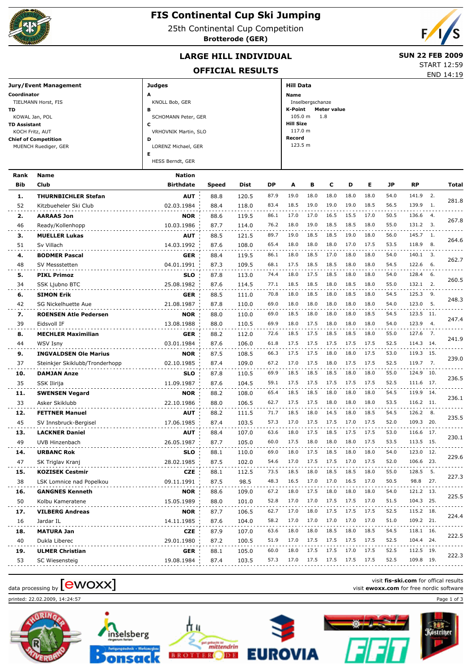

## **FIS Continental Cup Ski Jumping**

25th Continental Cup Competition

**Brotterode (GER)**



#### **LARGE HILL INDIVIDUAL** SUN 22 FEB 2009

## **OFFICIAL RESULTS** END 14:19

START 12:59

| Jury/Event Management       | <b>Judges</b>        | <b>Hill Data</b>       |
|-----------------------------|----------------------|------------------------|
| Coordinator                 | A                    | Name                   |
| TIELMANN Horst, FIS         | KNOLL Bob, GER       | Inselbergschanze       |
| TD                          | в                    | K-Point<br>Meter value |
| KOWAL Jan, POL              | SCHOMANN Peter, GER  | 105.0 m<br>1.8         |
| <b>TD Assistant</b>         | J                    | <b>Hill Size</b>       |
| KOCH Fritz, AUT             | VRHOVNIK Martin, SLO | 117.0 m                |
| <b>Chief of Competition</b> | D                    | Record                 |
| MUENCH Ruediger, GER        | LORENZ Michael, GER  | 123.5 m                |
|                             | Е                    |                        |
|                             | HESS Berndt, GER     |                        |

| Rank       | Name                           | <b>Nation</b>    |       |             |      |      |      |      |      |      |           |           |                             |              |
|------------|--------------------------------|------------------|-------|-------------|------|------|------|------|------|------|-----------|-----------|-----------------------------|--------------|
| <b>Bib</b> | Club                           | <b>Birthdate</b> | Speed | <b>Dist</b> | DP   | A    | в    | C    | D    | Е    | <b>JP</b> | <b>RP</b> |                             | <b>Total</b> |
| 1.         | <b>THURNBICHLER Stefan</b>     | <b>AUT</b>       | 88.8  | 120.5       | 87.9 | 19.0 | 18.0 | 18.0 | 18.0 | 18.0 | 54.0      | 141.9     | 2.                          |              |
| 52         | Kitzbueheler Ski Club          | 02.03.1984       | 88.4  | 118.0       | 83.4 | 18.5 | 19.0 | 19.0 | 19.0 | 18.5 | 56.5      | 139.9 1.  |                             | 281.8        |
| 2.         | <b>AARAAS Jon</b>              | <b>NOR</b>       | 88.6  | 119.5       | 86.1 | 17.0 | 17.0 | 16.5 | 15.5 | 17.0 | 50.5      | 136.6     | 4.                          |              |
| 46         | Ready/Kollenhopp               | 10.03.1986       | 87.7  | 114.0       | 76.2 | 18.0 | 19.0 | 18.5 | 18.5 | 18.0 | 55.0      | 131.2     | 3.                          | 267.8        |
| з.         | <b>MUELLER Lukas</b>           | <b>AUT</b>       | 88.5  | 121.5       | 89.7 | 19.0 | 18.5 | 18.5 | 19.0 | 18.0 | 56.0      | 145.7     | -1.                         |              |
| 51         | Sv Villach                     | 14.03.1992       | 87.6  | 108.0       | 65.4 | 18.0 | 18.0 | 18.0 | 17.0 | 17.5 | 53.5      | 118.9     | 8.                          | 264.6        |
| 4.         | <b>BODMER Pascal</b>           | <b>GER</b>       | 88.4  | 119.5       | 86.1 | 18.0 | 18.5 | 17.0 | 18.0 | 18.0 | 54.0      | 140.1     | $\overline{\phantom{a}}$ 3. | 262.7        |
| 48         | SV Messstetten                 | 04.01.1991       | 87.3  | 109.5       | 68.1 | 17.5 | 18.5 | 18.5 | 18.0 | 18.0 | 54.5      | 122.6     | - 6.                        |              |
| 5.         | <b>PIKL Primoz</b>             | <b>SLO</b>       | 87.8  | 113.0       | 74.4 | 18.0 | 17.5 | 18.5 | 18.0 | 18.0 | 54.0      | 128.4     | 6.                          | 260.5        |
| 34         | SSK Ljubno BTC                 | 25.08.1982       | 87.6  | 114.5       | 77.1 | 18.5 | 18.5 | 18.0 | 18.5 | 18.0 | 55.0      | 132.1     | 2.                          |              |
| 6.         | <b>SIMON Erik</b>              | <b>GER</b>       | 88.5  | 111.0       | 70.8 | 18.0 | 18.5 | 18.0 | 18.5 | 18.0 | 54.5      | 125.3     | 9.                          |              |
| 42         | SG Nickelhuette Aue            | 21.08.1987       | 87.8  | 110.0       | 69.0 | 18.0 | 18.0 | 18.0 | 18.0 | 18.0 | 54.0      | 123.0     | 5.                          | 248.3        |
| 7.         | <b>ROENSEN Atle Pedersen</b>   | <b>NOR</b>       | 88.0  | 110.0       | 69.0 | 18.5 | 18.0 | 18.0 | 18.0 | 18.5 | 54.5      | 123.5 11. |                             | 247.4        |
| 39         | Eidsvoll IF                    | 13.08.1988       | 88.0  | 110.5       | 69.9 | 18.0 | 17.5 | 18.0 | 18.0 | 18.0 | 54.0      | 123.9     | 4.                          |              |
| 8.         | <b>MECHLER Maximilian</b>      | <b>GER</b>       | 88.2  | 112.0       | 72.6 | 18.5 | 17.5 | 18.5 | 18.5 | 18.0 | 55.0      | 127.6     | 7.                          | 241.9        |
| 44         | <b>WSV Isny</b>                | 03.01.1984       | 87.6  | 106.0       | 61.8 | 17.5 | 17.5 | 17.5 | 17.5 | 17.5 | 52.5      | 114.3 14. |                             |              |
| 9.         | <b>INGVALDSEN Ole Marius</b>   | <b>NOR</b>       | 87.5  | 108.5       | 66.3 | 17.5 | 17.5 | 18.0 | 18.0 | 17.5 | 53.0      | 119.3 15. |                             | 239.0        |
| 37         | Steinkjer Skiklubb/Tronderhopp | 02.10.1985       | 87.4  | 109.0       | 67.2 | 17.0 | 17.5 | 18.0 | 17.5 | 17.5 | 52.5      | 119.7     | 7.                          |              |
| 10.        | <b>DAMJAN Anze</b>             | <b>SLO</b>       | 87.8  | 110.5       | 69.9 | 18.5 | 18.5 | 18.5 | 18.0 | 18.0 | 55.0      | 124.9 10. |                             | 236.5        |
| 35         | SSK Ilirija                    | 11.09.1987       | 87.6  | 104.5       | 59.1 | 17.5 | 17.5 | 17.5 | 17.5 | 17.5 | 52.5      | 111.6 17. |                             |              |
| 11.        | <b>SWENSEN Vegard</b>          | <b>NOR</b>       | 88.2  | 108.0       | 65.4 | 18.5 | 18.5 | 18.0 | 18.0 | 18.0 | 54.5      | 119.9 14. |                             | 236.1        |
| 33         | Asker Skiklubb                 | 22.10.1986       | 88.0  | 106.5       | 62.7 | 17.5 | 17.5 | 18.0 | 18.0 | 18.0 | 53.5      | 116.2 11. |                             |              |
| 12.        | <b>FETTNER Manuel</b>          | <b>AUT</b>       | 88.2  | 111.5       | 71.7 | 18.5 | 18.0 | 14.5 | 18.0 | 18.5 | 54.5      | 126.2     | 8.                          | 235.5        |
| 45         | SV Innsbruck-Bergisel          | 17.06.1985       | 87.4  | 103.5       | 57.3 | 17.0 | 17.5 | 17.5 | 17.0 | 17.5 | 52.0      | 109.3 20. |                             |              |
| 13.        | <b>LACKNER Daniel</b>          | <b>AUT</b>       | 88.4  | 107.0       | 63.6 | 18.0 | 17.5 | 18.5 | 17.5 | 17.5 | 53.0      | 116.6 17. |                             | 230.1        |
| 49         | UVB Hinzenbach                 | 26.05.1987       | 87.7  | 105.0       | 60.0 | 17.5 | 18.0 | 18.0 | 18.0 | 17.5 | 53.5      | 113.5 15. |                             |              |
| 14.        | <b>URBANC Rok</b>              | <b>SLO</b>       | 88.1  | 110.0       | 69.0 | 18.0 | 17.5 | 18.5 | 18.0 | 18.0 | 54.0      | 123.0 12. |                             | 229.6        |
| 47         | SK Triglav Kranj               | 28.02.1985       | 87.5  | 102.0       | 54.6 | 17.0 | 17.5 | 17.5 | 17.0 | 17.5 | 52.0      | 106.6 23. |                             |              |
| 15.        | <b>KOZISEK Cestmir</b>         | <b>CZE</b>       | 88.1  | 112.5       | 73.5 | 18.5 | 18.0 | 18.5 | 18.5 | 18.0 | 55.0      | 128.5     | - 5.                        | 227.3        |
| 38         | LSK Lomnice nad Popelkou       | 09.11.1991       | 87.5  | 98.5        | 48.3 | 16.5 | 17.0 | 17.0 | 16.5 | 17.0 | 50.5      | 98.8      | 27.                         |              |
| 16.        | <b>GANGNES Kenneth</b>         | <b>NOR</b>       | 88.6  | 109.0       | 67.2 | 18.0 | 17.5 | 18.0 | 18.0 | 18.0 | 54.0      | 121.2 13. |                             | 225.5        |
| 50         | Kolbu Kameratene               | 15.05.1989       | 88.0  | 101.0       | 52.8 | 17.0 | 17.0 | 17.5 | 17.5 | 17.0 | 51.5      | 104.3 25. |                             |              |
| 17.        | <b>VILBERG Andreas</b>         | <b>NOR</b>       | 87.7  | 106.5       | 62.7 | 17.0 | 18.0 | 17.5 | 17.5 | 17.5 | 52.5      | 115.2 18. |                             | 224.4        |
| 16         | Jardar IL                      | 14.11.1985       | 87.6  | 104.0       | 58.2 | 17.0 | 17.0 | 17.0 | 17.0 | 17.0 | 51.0      | 109.2 21. |                             |              |
| 18.        | <b>MATURA Jan</b>              | <b>CZE</b>       | 87.9  | 107.0       | 63.6 | 18.0 | 18.0 | 18.5 | 18.0 | 18.5 | 54.5      | 118.1 16. |                             | 222.5        |
| 40         | Dukla Liberec                  | 29.01.1980       | 87.2  | 100.5       | 51.9 | 17.0 | 17.5 | 17.5 | 17.5 | 17.5 | 52.5      | 104.4     | 24.                         |              |
| 19.        | <b>ULMER Christian</b>         | <b>GER</b>       | 88.1  | 105.0       | 60.0 | 18.0 | 17.5 | 17.5 | 17.0 | 17.5 | 52.5      | 112.5     | 19.                         | 222.3        |
| 53         | <b>SC Wiesensteig</b>          | 19.08.1984       | 87.4  | 103.5       | 57.3 | 17.0 | 17.5 | 17.5 | 17.5 | 17.5 | 52.5      | 109.8 19. |                             |              |

# visit fis-ski.com for offical results<br>visit **ewoxx.com** for free nordic software<br>visit **ewoxx.com** for free nordic software

printed: 22.02.2009, 14:24:57 Page 1 of 3







**EUROVIA** 





visit **fis-ski.com** for offical results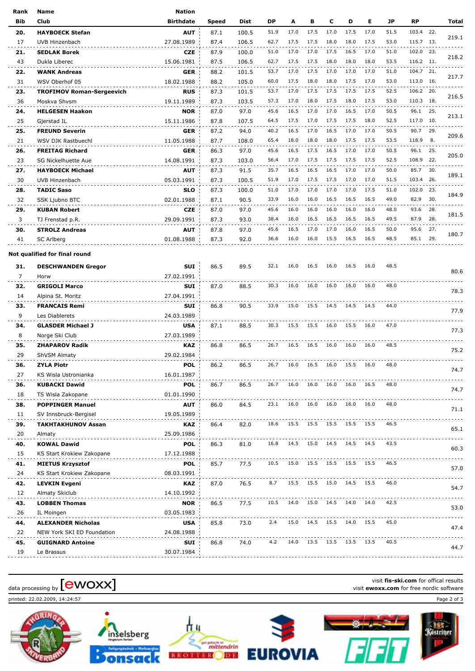| Е<br><b>RP</b><br>Bib<br>Club<br><b>Birthdate</b><br><b>Speed</b><br><b>Dist</b><br>DΡ<br>в<br>c<br>D<br>JP<br>A<br>17.5<br>17.0<br>103.4 22.<br>51.9<br>17.0<br>17.5<br>17.0<br>51.5<br><b>HAYBOECK Stefan</b><br><b>AUT</b><br>87.1<br>100.5<br>20.<br>62.7<br>17.5<br>17.5<br>18.0<br>18.0<br>17.5<br>53.0<br>115.7 13.<br>17<br>27.08.1989<br>87.4<br>106.5<br>UVB Hinzenbach<br>17.0<br>17.0<br>17.5<br>16.5<br>102.0 23.<br>51.0<br>17.0<br>51.0<br><b>SEDLAK Borek</b><br><b>CZE</b><br>87.9<br>100.0<br>21.<br>17.5<br>18.0<br>18.0<br>18.0<br>53.5<br>116.2 11.<br>106.5<br>62.7<br>17.5<br>43<br>Dukla Liberec<br>15.06.1981<br>87.5<br>17.0<br>17.5<br>17.0<br>17.0<br>17.0<br>51.0<br>104.7 21.<br>101.5<br>53.7<br><b>WANK Andreas</b><br><b>GER</b><br>88.2<br>22.<br>60.0<br>17.5<br>18.0<br>18.0<br>17.5<br>17.0<br>53.0<br>113.0 16.<br>31<br>WSV Oberhof 05<br>18.02.1988<br>105.0<br>88.2<br>17.0<br>17.5<br>17.5<br>17.5<br>106.2 20.<br>53.7<br>17.5<br>52.5<br>23.<br><b>TROFIMOV Roman-Sergeevich</b><br><b>RUS</b><br>87.3<br>101.5<br>110.3 18.<br>17.0<br>18.0<br>17.5<br>18.0<br>17.5<br>53.0<br>57.3<br>36<br>Moskva Shvsm<br>19.11.1989<br>87.3<br>103.5<br>45.6<br>16.5<br>17.0<br>17.0<br>50.5<br>96.1<br>24.<br><b>HELGESEN Haakon</b><br><b>NOR</b><br>87.0<br>97.0<br>16.5<br>17.0<br>25.<br>25<br>17.5<br>17.5<br>18.0<br>52.5<br>117.0 10.<br>15.11.1986<br>87.8<br>107.5<br>64.5<br>17.5<br>17.0<br>Gjerstad IL<br>40.2<br>16.5<br>17.0<br>16.5<br>17.0<br>90.7<br>94.0<br>17.0<br>50.5<br>29.<br>25.<br><b>FREUND Severin</b><br><b>GER</b><br>87.2<br>18.0<br>17.5<br>53.5<br>118.9<br>8.<br>21<br>11.05.1988<br>87.7<br>108.0<br>65.4<br>18.0<br>18.0<br>17.5<br>WSV DJK Rastbuechl<br>16.5<br>17.5<br>16.5<br>17.0<br>25.<br><b>GER</b><br>97.0<br>45.6<br>17.0<br>50.5<br>96.1<br>26.<br><b>FREITAG Richard</b><br>86.3<br>17.5<br>17.5<br>17.5<br>52.5<br>108.9 22.<br>23<br>14.08.1991<br>87.3<br>103.0<br>56.4<br>17.0<br>17.5<br>SG Nickelhuette Aue<br>16.5<br>16.5<br>16.5<br>17.0<br>85.7<br>30.<br>35.7<br>17.0<br>50.0<br>27.<br><b>HAYBOECK Michael</b><br><b>AUT</b><br>91.5<br>87.3<br>51.9<br>17.0<br>17.5<br>17.5<br>17.0<br>17.0<br>51.5<br>103.4 26.<br>30<br>UVB Hinzenbach<br>05.03.1991<br>87.3<br>100.5<br>102.0 23.<br>51.0<br>17.0<br>17.0<br>17.0<br>17.0<br>17.5<br>51.0<br>28.<br><b>TADIC Saso</b><br><b>SLO</b><br>87.3<br>100.0<br>32<br>90.5<br>33.9<br>16.0<br>16.0<br>16.5<br>16.5<br>16.5<br>49.0<br>82.9<br>30.<br><b>SSK Ljubno BTC</b><br>02.01.1988<br>87.1<br>45.6<br>16.0<br>16.0<br>16.0<br>16.0<br>93.6<br>87.0<br>97.0<br>16.0<br>48.0<br>28.<br>29.<br><b>KUBAN Robert</b><br>CZE<br>38.4<br>16.5<br>16.5<br>49.5<br>87.9<br>28.<br>3<br>87.3<br>93.0<br>16.0<br>16.5<br>16.5<br>29.09.1991<br>TJ Frenstad p.R.<br>45.6<br>16.5<br>17.0<br>17.0<br>16.0<br>95.6<br>27.<br><b>AUT</b><br>97.0<br>16.5<br>50.0<br>30.<br><b>STROLZ Andreas</b><br>87.8<br>85.1 29.<br>87.3<br>92.0<br>36.6<br>16.0<br>16.0<br>15.5<br>16.5<br>16.5<br>48.5<br>SC Arlberg<br>01.08.1988<br>41<br>Not qualified for final round<br><b>SUI</b><br>31.<br><b>DESCHWANDEN Gregor</b><br>86.5<br>89.5<br>32.1<br>16.0<br>16.5<br>16.0<br>16.5<br>16.0<br>48.5<br>$\overline{7}$<br>27.02.1991<br>Horw<br>32.<br>SUI<br>87.0<br>88.5<br>30.3<br>16.0<br>16.0<br>16.0<br>16.0<br>16.0<br>48.0<br><b>GRIGOLI Marco</b><br>14<br>Alpina St. Moritz<br>27.04.1991<br>.<br>33.9<br>15.0<br>15.5<br>14.5<br>44.0<br>33.<br><b>FRANCAIS Remi</b><br>SUI<br>86.8<br>90.5<br>14.5 14.5<br>9<br>Les Diablerets<br>24.03.1989<br>30.3<br>15.5<br>15.5<br>15.5<br>47.0<br><b>USA</b><br>87.1<br>88.5<br>16.0<br>16.0<br><b>GLASDER Michael J</b><br>34.<br>27.03.1989<br>8<br>Norge Ski Club | Total |
|---------------------------------------------------------------------------------------------------------------------------------------------------------------------------------------------------------------------------------------------------------------------------------------------------------------------------------------------------------------------------------------------------------------------------------------------------------------------------------------------------------------------------------------------------------------------------------------------------------------------------------------------------------------------------------------------------------------------------------------------------------------------------------------------------------------------------------------------------------------------------------------------------------------------------------------------------------------------------------------------------------------------------------------------------------------------------------------------------------------------------------------------------------------------------------------------------------------------------------------------------------------------------------------------------------------------------------------------------------------------------------------------------------------------------------------------------------------------------------------------------------------------------------------------------------------------------------------------------------------------------------------------------------------------------------------------------------------------------------------------------------------------------------------------------------------------------------------------------------------------------------------------------------------------------------------------------------------------------------------------------------------------------------------------------------------------------------------------------------------------------------------------------------------------------------------------------------------------------------------------------------------------------------------------------------------------------------------------------------------------------------------------------------------------------------------------------------------------------------------------------------------------------------------------------------------------------------------------------------------------------------------------------------------------------------------------------------------------------------------------------------------------------------------------------------------------------------------------------------------------------------------------------------------------------------------------------------------------------------------------------------------------------------------------------------------------------------------------------------------------------------------------------------------------------------------------------------------------------------------------------------------------------------------------------------------------------------------------------------------------------------------------------------------------------------------------------------------------------------------------------------------------------------------------------------------------------------------------------------------------------------------------------------------------------------------------------------------------------------------------|-------|
|                                                                                                                                                                                                                                                                                                                                                                                                                                                                                                                                                                                                                                                                                                                                                                                                                                                                                                                                                                                                                                                                                                                                                                                                                                                                                                                                                                                                                                                                                                                                                                                                                                                                                                                                                                                                                                                                                                                                                                                                                                                                                                                                                                                                                                                                                                                                                                                                                                                                                                                                                                                                                                                                                                                                                                                                                                                                                                                                                                                                                                                                                                                                                                                                                                                                                                                                                                                                                                                                                                                                                                                                                                                                                                                                             |       |
|                                                                                                                                                                                                                                                                                                                                                                                                                                                                                                                                                                                                                                                                                                                                                                                                                                                                                                                                                                                                                                                                                                                                                                                                                                                                                                                                                                                                                                                                                                                                                                                                                                                                                                                                                                                                                                                                                                                                                                                                                                                                                                                                                                                                                                                                                                                                                                                                                                                                                                                                                                                                                                                                                                                                                                                                                                                                                                                                                                                                                                                                                                                                                                                                                                                                                                                                                                                                                                                                                                                                                                                                                                                                                                                                             |       |
|                                                                                                                                                                                                                                                                                                                                                                                                                                                                                                                                                                                                                                                                                                                                                                                                                                                                                                                                                                                                                                                                                                                                                                                                                                                                                                                                                                                                                                                                                                                                                                                                                                                                                                                                                                                                                                                                                                                                                                                                                                                                                                                                                                                                                                                                                                                                                                                                                                                                                                                                                                                                                                                                                                                                                                                                                                                                                                                                                                                                                                                                                                                                                                                                                                                                                                                                                                                                                                                                                                                                                                                                                                                                                                                                             | 219.1 |
|                                                                                                                                                                                                                                                                                                                                                                                                                                                                                                                                                                                                                                                                                                                                                                                                                                                                                                                                                                                                                                                                                                                                                                                                                                                                                                                                                                                                                                                                                                                                                                                                                                                                                                                                                                                                                                                                                                                                                                                                                                                                                                                                                                                                                                                                                                                                                                                                                                                                                                                                                                                                                                                                                                                                                                                                                                                                                                                                                                                                                                                                                                                                                                                                                                                                                                                                                                                                                                                                                                                                                                                                                                                                                                                                             |       |
|                                                                                                                                                                                                                                                                                                                                                                                                                                                                                                                                                                                                                                                                                                                                                                                                                                                                                                                                                                                                                                                                                                                                                                                                                                                                                                                                                                                                                                                                                                                                                                                                                                                                                                                                                                                                                                                                                                                                                                                                                                                                                                                                                                                                                                                                                                                                                                                                                                                                                                                                                                                                                                                                                                                                                                                                                                                                                                                                                                                                                                                                                                                                                                                                                                                                                                                                                                                                                                                                                                                                                                                                                                                                                                                                             | 218.2 |
|                                                                                                                                                                                                                                                                                                                                                                                                                                                                                                                                                                                                                                                                                                                                                                                                                                                                                                                                                                                                                                                                                                                                                                                                                                                                                                                                                                                                                                                                                                                                                                                                                                                                                                                                                                                                                                                                                                                                                                                                                                                                                                                                                                                                                                                                                                                                                                                                                                                                                                                                                                                                                                                                                                                                                                                                                                                                                                                                                                                                                                                                                                                                                                                                                                                                                                                                                                                                                                                                                                                                                                                                                                                                                                                                             |       |
|                                                                                                                                                                                                                                                                                                                                                                                                                                                                                                                                                                                                                                                                                                                                                                                                                                                                                                                                                                                                                                                                                                                                                                                                                                                                                                                                                                                                                                                                                                                                                                                                                                                                                                                                                                                                                                                                                                                                                                                                                                                                                                                                                                                                                                                                                                                                                                                                                                                                                                                                                                                                                                                                                                                                                                                                                                                                                                                                                                                                                                                                                                                                                                                                                                                                                                                                                                                                                                                                                                                                                                                                                                                                                                                                             | 217.7 |
|                                                                                                                                                                                                                                                                                                                                                                                                                                                                                                                                                                                                                                                                                                                                                                                                                                                                                                                                                                                                                                                                                                                                                                                                                                                                                                                                                                                                                                                                                                                                                                                                                                                                                                                                                                                                                                                                                                                                                                                                                                                                                                                                                                                                                                                                                                                                                                                                                                                                                                                                                                                                                                                                                                                                                                                                                                                                                                                                                                                                                                                                                                                                                                                                                                                                                                                                                                                                                                                                                                                                                                                                                                                                                                                                             |       |
|                                                                                                                                                                                                                                                                                                                                                                                                                                                                                                                                                                                                                                                                                                                                                                                                                                                                                                                                                                                                                                                                                                                                                                                                                                                                                                                                                                                                                                                                                                                                                                                                                                                                                                                                                                                                                                                                                                                                                                                                                                                                                                                                                                                                                                                                                                                                                                                                                                                                                                                                                                                                                                                                                                                                                                                                                                                                                                                                                                                                                                                                                                                                                                                                                                                                                                                                                                                                                                                                                                                                                                                                                                                                                                                                             | 216.5 |
|                                                                                                                                                                                                                                                                                                                                                                                                                                                                                                                                                                                                                                                                                                                                                                                                                                                                                                                                                                                                                                                                                                                                                                                                                                                                                                                                                                                                                                                                                                                                                                                                                                                                                                                                                                                                                                                                                                                                                                                                                                                                                                                                                                                                                                                                                                                                                                                                                                                                                                                                                                                                                                                                                                                                                                                                                                                                                                                                                                                                                                                                                                                                                                                                                                                                                                                                                                                                                                                                                                                                                                                                                                                                                                                                             |       |
|                                                                                                                                                                                                                                                                                                                                                                                                                                                                                                                                                                                                                                                                                                                                                                                                                                                                                                                                                                                                                                                                                                                                                                                                                                                                                                                                                                                                                                                                                                                                                                                                                                                                                                                                                                                                                                                                                                                                                                                                                                                                                                                                                                                                                                                                                                                                                                                                                                                                                                                                                                                                                                                                                                                                                                                                                                                                                                                                                                                                                                                                                                                                                                                                                                                                                                                                                                                                                                                                                                                                                                                                                                                                                                                                             | 213.1 |
|                                                                                                                                                                                                                                                                                                                                                                                                                                                                                                                                                                                                                                                                                                                                                                                                                                                                                                                                                                                                                                                                                                                                                                                                                                                                                                                                                                                                                                                                                                                                                                                                                                                                                                                                                                                                                                                                                                                                                                                                                                                                                                                                                                                                                                                                                                                                                                                                                                                                                                                                                                                                                                                                                                                                                                                                                                                                                                                                                                                                                                                                                                                                                                                                                                                                                                                                                                                                                                                                                                                                                                                                                                                                                                                                             |       |
|                                                                                                                                                                                                                                                                                                                                                                                                                                                                                                                                                                                                                                                                                                                                                                                                                                                                                                                                                                                                                                                                                                                                                                                                                                                                                                                                                                                                                                                                                                                                                                                                                                                                                                                                                                                                                                                                                                                                                                                                                                                                                                                                                                                                                                                                                                                                                                                                                                                                                                                                                                                                                                                                                                                                                                                                                                                                                                                                                                                                                                                                                                                                                                                                                                                                                                                                                                                                                                                                                                                                                                                                                                                                                                                                             | 209.6 |
|                                                                                                                                                                                                                                                                                                                                                                                                                                                                                                                                                                                                                                                                                                                                                                                                                                                                                                                                                                                                                                                                                                                                                                                                                                                                                                                                                                                                                                                                                                                                                                                                                                                                                                                                                                                                                                                                                                                                                                                                                                                                                                                                                                                                                                                                                                                                                                                                                                                                                                                                                                                                                                                                                                                                                                                                                                                                                                                                                                                                                                                                                                                                                                                                                                                                                                                                                                                                                                                                                                                                                                                                                                                                                                                                             |       |
|                                                                                                                                                                                                                                                                                                                                                                                                                                                                                                                                                                                                                                                                                                                                                                                                                                                                                                                                                                                                                                                                                                                                                                                                                                                                                                                                                                                                                                                                                                                                                                                                                                                                                                                                                                                                                                                                                                                                                                                                                                                                                                                                                                                                                                                                                                                                                                                                                                                                                                                                                                                                                                                                                                                                                                                                                                                                                                                                                                                                                                                                                                                                                                                                                                                                                                                                                                                                                                                                                                                                                                                                                                                                                                                                             | 205.0 |
|                                                                                                                                                                                                                                                                                                                                                                                                                                                                                                                                                                                                                                                                                                                                                                                                                                                                                                                                                                                                                                                                                                                                                                                                                                                                                                                                                                                                                                                                                                                                                                                                                                                                                                                                                                                                                                                                                                                                                                                                                                                                                                                                                                                                                                                                                                                                                                                                                                                                                                                                                                                                                                                                                                                                                                                                                                                                                                                                                                                                                                                                                                                                                                                                                                                                                                                                                                                                                                                                                                                                                                                                                                                                                                                                             |       |
|                                                                                                                                                                                                                                                                                                                                                                                                                                                                                                                                                                                                                                                                                                                                                                                                                                                                                                                                                                                                                                                                                                                                                                                                                                                                                                                                                                                                                                                                                                                                                                                                                                                                                                                                                                                                                                                                                                                                                                                                                                                                                                                                                                                                                                                                                                                                                                                                                                                                                                                                                                                                                                                                                                                                                                                                                                                                                                                                                                                                                                                                                                                                                                                                                                                                                                                                                                                                                                                                                                                                                                                                                                                                                                                                             | 189.1 |
|                                                                                                                                                                                                                                                                                                                                                                                                                                                                                                                                                                                                                                                                                                                                                                                                                                                                                                                                                                                                                                                                                                                                                                                                                                                                                                                                                                                                                                                                                                                                                                                                                                                                                                                                                                                                                                                                                                                                                                                                                                                                                                                                                                                                                                                                                                                                                                                                                                                                                                                                                                                                                                                                                                                                                                                                                                                                                                                                                                                                                                                                                                                                                                                                                                                                                                                                                                                                                                                                                                                                                                                                                                                                                                                                             |       |
|                                                                                                                                                                                                                                                                                                                                                                                                                                                                                                                                                                                                                                                                                                                                                                                                                                                                                                                                                                                                                                                                                                                                                                                                                                                                                                                                                                                                                                                                                                                                                                                                                                                                                                                                                                                                                                                                                                                                                                                                                                                                                                                                                                                                                                                                                                                                                                                                                                                                                                                                                                                                                                                                                                                                                                                                                                                                                                                                                                                                                                                                                                                                                                                                                                                                                                                                                                                                                                                                                                                                                                                                                                                                                                                                             | 184.9 |
|                                                                                                                                                                                                                                                                                                                                                                                                                                                                                                                                                                                                                                                                                                                                                                                                                                                                                                                                                                                                                                                                                                                                                                                                                                                                                                                                                                                                                                                                                                                                                                                                                                                                                                                                                                                                                                                                                                                                                                                                                                                                                                                                                                                                                                                                                                                                                                                                                                                                                                                                                                                                                                                                                                                                                                                                                                                                                                                                                                                                                                                                                                                                                                                                                                                                                                                                                                                                                                                                                                                                                                                                                                                                                                                                             |       |
|                                                                                                                                                                                                                                                                                                                                                                                                                                                                                                                                                                                                                                                                                                                                                                                                                                                                                                                                                                                                                                                                                                                                                                                                                                                                                                                                                                                                                                                                                                                                                                                                                                                                                                                                                                                                                                                                                                                                                                                                                                                                                                                                                                                                                                                                                                                                                                                                                                                                                                                                                                                                                                                                                                                                                                                                                                                                                                                                                                                                                                                                                                                                                                                                                                                                                                                                                                                                                                                                                                                                                                                                                                                                                                                                             | 181.5 |
|                                                                                                                                                                                                                                                                                                                                                                                                                                                                                                                                                                                                                                                                                                                                                                                                                                                                                                                                                                                                                                                                                                                                                                                                                                                                                                                                                                                                                                                                                                                                                                                                                                                                                                                                                                                                                                                                                                                                                                                                                                                                                                                                                                                                                                                                                                                                                                                                                                                                                                                                                                                                                                                                                                                                                                                                                                                                                                                                                                                                                                                                                                                                                                                                                                                                                                                                                                                                                                                                                                                                                                                                                                                                                                                                             |       |
|                                                                                                                                                                                                                                                                                                                                                                                                                                                                                                                                                                                                                                                                                                                                                                                                                                                                                                                                                                                                                                                                                                                                                                                                                                                                                                                                                                                                                                                                                                                                                                                                                                                                                                                                                                                                                                                                                                                                                                                                                                                                                                                                                                                                                                                                                                                                                                                                                                                                                                                                                                                                                                                                                                                                                                                                                                                                                                                                                                                                                                                                                                                                                                                                                                                                                                                                                                                                                                                                                                                                                                                                                                                                                                                                             | 180.7 |
|                                                                                                                                                                                                                                                                                                                                                                                                                                                                                                                                                                                                                                                                                                                                                                                                                                                                                                                                                                                                                                                                                                                                                                                                                                                                                                                                                                                                                                                                                                                                                                                                                                                                                                                                                                                                                                                                                                                                                                                                                                                                                                                                                                                                                                                                                                                                                                                                                                                                                                                                                                                                                                                                                                                                                                                                                                                                                                                                                                                                                                                                                                                                                                                                                                                                                                                                                                                                                                                                                                                                                                                                                                                                                                                                             |       |
|                                                                                                                                                                                                                                                                                                                                                                                                                                                                                                                                                                                                                                                                                                                                                                                                                                                                                                                                                                                                                                                                                                                                                                                                                                                                                                                                                                                                                                                                                                                                                                                                                                                                                                                                                                                                                                                                                                                                                                                                                                                                                                                                                                                                                                                                                                                                                                                                                                                                                                                                                                                                                                                                                                                                                                                                                                                                                                                                                                                                                                                                                                                                                                                                                                                                                                                                                                                                                                                                                                                                                                                                                                                                                                                                             |       |
|                                                                                                                                                                                                                                                                                                                                                                                                                                                                                                                                                                                                                                                                                                                                                                                                                                                                                                                                                                                                                                                                                                                                                                                                                                                                                                                                                                                                                                                                                                                                                                                                                                                                                                                                                                                                                                                                                                                                                                                                                                                                                                                                                                                                                                                                                                                                                                                                                                                                                                                                                                                                                                                                                                                                                                                                                                                                                                                                                                                                                                                                                                                                                                                                                                                                                                                                                                                                                                                                                                                                                                                                                                                                                                                                             | 80.6  |
|                                                                                                                                                                                                                                                                                                                                                                                                                                                                                                                                                                                                                                                                                                                                                                                                                                                                                                                                                                                                                                                                                                                                                                                                                                                                                                                                                                                                                                                                                                                                                                                                                                                                                                                                                                                                                                                                                                                                                                                                                                                                                                                                                                                                                                                                                                                                                                                                                                                                                                                                                                                                                                                                                                                                                                                                                                                                                                                                                                                                                                                                                                                                                                                                                                                                                                                                                                                                                                                                                                                                                                                                                                                                                                                                             |       |
|                                                                                                                                                                                                                                                                                                                                                                                                                                                                                                                                                                                                                                                                                                                                                                                                                                                                                                                                                                                                                                                                                                                                                                                                                                                                                                                                                                                                                                                                                                                                                                                                                                                                                                                                                                                                                                                                                                                                                                                                                                                                                                                                                                                                                                                                                                                                                                                                                                                                                                                                                                                                                                                                                                                                                                                                                                                                                                                                                                                                                                                                                                                                                                                                                                                                                                                                                                                                                                                                                                                                                                                                                                                                                                                                             | 78.3  |
|                                                                                                                                                                                                                                                                                                                                                                                                                                                                                                                                                                                                                                                                                                                                                                                                                                                                                                                                                                                                                                                                                                                                                                                                                                                                                                                                                                                                                                                                                                                                                                                                                                                                                                                                                                                                                                                                                                                                                                                                                                                                                                                                                                                                                                                                                                                                                                                                                                                                                                                                                                                                                                                                                                                                                                                                                                                                                                                                                                                                                                                                                                                                                                                                                                                                                                                                                                                                                                                                                                                                                                                                                                                                                                                                             |       |
|                                                                                                                                                                                                                                                                                                                                                                                                                                                                                                                                                                                                                                                                                                                                                                                                                                                                                                                                                                                                                                                                                                                                                                                                                                                                                                                                                                                                                                                                                                                                                                                                                                                                                                                                                                                                                                                                                                                                                                                                                                                                                                                                                                                                                                                                                                                                                                                                                                                                                                                                                                                                                                                                                                                                                                                                                                                                                                                                                                                                                                                                                                                                                                                                                                                                                                                                                                                                                                                                                                                                                                                                                                                                                                                                             | 77.9  |
|                                                                                                                                                                                                                                                                                                                                                                                                                                                                                                                                                                                                                                                                                                                                                                                                                                                                                                                                                                                                                                                                                                                                                                                                                                                                                                                                                                                                                                                                                                                                                                                                                                                                                                                                                                                                                                                                                                                                                                                                                                                                                                                                                                                                                                                                                                                                                                                                                                                                                                                                                                                                                                                                                                                                                                                                                                                                                                                                                                                                                                                                                                                                                                                                                                                                                                                                                                                                                                                                                                                                                                                                                                                                                                                                             |       |
|                                                                                                                                                                                                                                                                                                                                                                                                                                                                                                                                                                                                                                                                                                                                                                                                                                                                                                                                                                                                                                                                                                                                                                                                                                                                                                                                                                                                                                                                                                                                                                                                                                                                                                                                                                                                                                                                                                                                                                                                                                                                                                                                                                                                                                                                                                                                                                                                                                                                                                                                                                                                                                                                                                                                                                                                                                                                                                                                                                                                                                                                                                                                                                                                                                                                                                                                                                                                                                                                                                                                                                                                                                                                                                                                             | 77.3  |
|                                                                                                                                                                                                                                                                                                                                                                                                                                                                                                                                                                                                                                                                                                                                                                                                                                                                                                                                                                                                                                                                                                                                                                                                                                                                                                                                                                                                                                                                                                                                                                                                                                                                                                                                                                                                                                                                                                                                                                                                                                                                                                                                                                                                                                                                                                                                                                                                                                                                                                                                                                                                                                                                                                                                                                                                                                                                                                                                                                                                                                                                                                                                                                                                                                                                                                                                                                                                                                                                                                                                                                                                                                                                                                                                             |       |
| 26.7<br>48.5<br>16.5<br>16.5<br>16.0<br>16.0<br>16.0<br><b>ZHAPAROV Radik</b><br><b>KAZ</b><br>86.8<br>86.5<br>35.                                                                                                                                                                                                                                                                                                                                                                                                                                                                                                                                                                                                                                                                                                                                                                                                                                                                                                                                                                                                                                                                                                                                                                                                                                                                                                                                                                                                                                                                                                                                                                                                                                                                                                                                                                                                                                                                                                                                                                                                                                                                                                                                                                                                                                                                                                                                                                                                                                                                                                                                                                                                                                                                                                                                                                                                                                                                                                                                                                                                                                                                                                                                                                                                                                                                                                                                                                                                                                                                                                                                                                                                                          | 75.2  |
| 29<br>29.02.1984<br>ShVSM Almaty                                                                                                                                                                                                                                                                                                                                                                                                                                                                                                                                                                                                                                                                                                                                                                                                                                                                                                                                                                                                                                                                                                                                                                                                                                                                                                                                                                                                                                                                                                                                                                                                                                                                                                                                                                                                                                                                                                                                                                                                                                                                                                                                                                                                                                                                                                                                                                                                                                                                                                                                                                                                                                                                                                                                                                                                                                                                                                                                                                                                                                                                                                                                                                                                                                                                                                                                                                                                                                                                                                                                                                                                                                                                                                            |       |
| 26.7 16.0 16.5 16.0 15.5 16.0<br>48.0<br>36.<br><b>ZYLA Piotr</b><br>POL :<br>86.5<br>86.2                                                                                                                                                                                                                                                                                                                                                                                                                                                                                                                                                                                                                                                                                                                                                                                                                                                                                                                                                                                                                                                                                                                                                                                                                                                                                                                                                                                                                                                                                                                                                                                                                                                                                                                                                                                                                                                                                                                                                                                                                                                                                                                                                                                                                                                                                                                                                                                                                                                                                                                                                                                                                                                                                                                                                                                                                                                                                                                                                                                                                                                                                                                                                                                                                                                                                                                                                                                                                                                                                                                                                                                                                                                  | 74.7  |
| 27<br>16.01.1987<br>KS Wisla Ustronianka                                                                                                                                                                                                                                                                                                                                                                                                                                                                                                                                                                                                                                                                                                                                                                                                                                                                                                                                                                                                                                                                                                                                                                                                                                                                                                                                                                                                                                                                                                                                                                                                                                                                                                                                                                                                                                                                                                                                                                                                                                                                                                                                                                                                                                                                                                                                                                                                                                                                                                                                                                                                                                                                                                                                                                                                                                                                                                                                                                                                                                                                                                                                                                                                                                                                                                                                                                                                                                                                                                                                                                                                                                                                                                    |       |
| 86.5<br>16.0<br>16.0 16.0<br>16.0 16.5<br>48.0<br>36.<br><b>KUBACKI Dawid</b><br><b>POL</b><br>86.7<br>26.7                                                                                                                                                                                                                                                                                                                                                                                                                                                                                                                                                                                                                                                                                                                                                                                                                                                                                                                                                                                                                                                                                                                                                                                                                                                                                                                                                                                                                                                                                                                                                                                                                                                                                                                                                                                                                                                                                                                                                                                                                                                                                                                                                                                                                                                                                                                                                                                                                                                                                                                                                                                                                                                                                                                                                                                                                                                                                                                                                                                                                                                                                                                                                                                                                                                                                                                                                                                                                                                                                                                                                                                                                                 | 74.7  |
| 18<br>TS Wisla Zakopane<br>01.01.1990                                                                                                                                                                                                                                                                                                                                                                                                                                                                                                                                                                                                                                                                                                                                                                                                                                                                                                                                                                                                                                                                                                                                                                                                                                                                                                                                                                                                                                                                                                                                                                                                                                                                                                                                                                                                                                                                                                                                                                                                                                                                                                                                                                                                                                                                                                                                                                                                                                                                                                                                                                                                                                                                                                                                                                                                                                                                                                                                                                                                                                                                                                                                                                                                                                                                                                                                                                                                                                                                                                                                                                                                                                                                                                       |       |
| 84.5<br>16.0<br>16.0<br>16.0<br>86.0<br>23.1<br>16.0<br>16.0<br>48.0<br>38.<br><b>POPPINGER Manuel</b><br><b>AUT</b>                                                                                                                                                                                                                                                                                                                                                                                                                                                                                                                                                                                                                                                                                                                                                                                                                                                                                                                                                                                                                                                                                                                                                                                                                                                                                                                                                                                                                                                                                                                                                                                                                                                                                                                                                                                                                                                                                                                                                                                                                                                                                                                                                                                                                                                                                                                                                                                                                                                                                                                                                                                                                                                                                                                                                                                                                                                                                                                                                                                                                                                                                                                                                                                                                                                                                                                                                                                                                                                                                                                                                                                                                        | 71.1  |
| 19.05.1989<br>11<br>SV Innsbruck-Bergisel                                                                                                                                                                                                                                                                                                                                                                                                                                                                                                                                                                                                                                                                                                                                                                                                                                                                                                                                                                                                                                                                                                                                                                                                                                                                                                                                                                                                                                                                                                                                                                                                                                                                                                                                                                                                                                                                                                                                                                                                                                                                                                                                                                                                                                                                                                                                                                                                                                                                                                                                                                                                                                                                                                                                                                                                                                                                                                                                                                                                                                                                                                                                                                                                                                                                                                                                                                                                                                                                                                                                                                                                                                                                                                   |       |
| 82.0<br>15.5 15.5 15.5 15.5 15.5<br>46.5<br>39.<br><b>TAKHTAKHUNOV Assan</b><br>KAZ<br>86.4<br>18.6                                                                                                                                                                                                                                                                                                                                                                                                                                                                                                                                                                                                                                                                                                                                                                                                                                                                                                                                                                                                                                                                                                                                                                                                                                                                                                                                                                                                                                                                                                                                                                                                                                                                                                                                                                                                                                                                                                                                                                                                                                                                                                                                                                                                                                                                                                                                                                                                                                                                                                                                                                                                                                                                                                                                                                                                                                                                                                                                                                                                                                                                                                                                                                                                                                                                                                                                                                                                                                                                                                                                                                                                                                         | 65.1  |
| 20<br>25.09.1986<br>Almaty<br>.                                                                                                                                                                                                                                                                                                                                                                                                                                                                                                                                                                                                                                                                                                                                                                                                                                                                                                                                                                                                                                                                                                                                                                                                                                                                                                                                                                                                                                                                                                                                                                                                                                                                                                                                                                                                                                                                                                                                                                                                                                                                                                                                                                                                                                                                                                                                                                                                                                                                                                                                                                                                                                                                                                                                                                                                                                                                                                                                                                                                                                                                                                                                                                                                                                                                                                                                                                                                                                                                                                                                                                                                                                                                                                             |       |
| 16.8<br>14.5 15.0 14.5 14.5 14.5<br>43.5<br>40.<br><b>KOWAL Dawid</b><br><b>POL</b><br>86.3<br>81.0                                                                                                                                                                                                                                                                                                                                                                                                                                                                                                                                                                                                                                                                                                                                                                                                                                                                                                                                                                                                                                                                                                                                                                                                                                                                                                                                                                                                                                                                                                                                                                                                                                                                                                                                                                                                                                                                                                                                                                                                                                                                                                                                                                                                                                                                                                                                                                                                                                                                                                                                                                                                                                                                                                                                                                                                                                                                                                                                                                                                                                                                                                                                                                                                                                                                                                                                                                                                                                                                                                                                                                                                                                         | 60.3  |
| 15<br>KS Start Krokiew Zakopane<br>17.12.1988<br>.                                                                                                                                                                                                                                                                                                                                                                                                                                                                                                                                                                                                                                                                                                                                                                                                                                                                                                                                                                                                                                                                                                                                                                                                                                                                                                                                                                                                                                                                                                                                                                                                                                                                                                                                                                                                                                                                                                                                                                                                                                                                                                                                                                                                                                                                                                                                                                                                                                                                                                                                                                                                                                                                                                                                                                                                                                                                                                                                                                                                                                                                                                                                                                                                                                                                                                                                                                                                                                                                                                                                                                                                                                                                                          |       |
| 15.0 15.5 15.5 15.5 15.5<br>85.7<br>10.5<br>46.5<br>77.5<br>41.<br><b>MIETUS Krzysztof</b><br><b>POL</b>                                                                                                                                                                                                                                                                                                                                                                                                                                                                                                                                                                                                                                                                                                                                                                                                                                                                                                                                                                                                                                                                                                                                                                                                                                                                                                                                                                                                                                                                                                                                                                                                                                                                                                                                                                                                                                                                                                                                                                                                                                                                                                                                                                                                                                                                                                                                                                                                                                                                                                                                                                                                                                                                                                                                                                                                                                                                                                                                                                                                                                                                                                                                                                                                                                                                                                                                                                                                                                                                                                                                                                                                                                    | 57.0  |
| 08.03.1991<br>24<br>KS Start Krokiew Zakopane                                                                                                                                                                                                                                                                                                                                                                                                                                                                                                                                                                                                                                                                                                                                                                                                                                                                                                                                                                                                                                                                                                                                                                                                                                                                                                                                                                                                                                                                                                                                                                                                                                                                                                                                                                                                                                                                                                                                                                                                                                                                                                                                                                                                                                                                                                                                                                                                                                                                                                                                                                                                                                                                                                                                                                                                                                                                                                                                                                                                                                                                                                                                                                                                                                                                                                                                                                                                                                                                                                                                                                                                                                                                                               |       |
| 15.5 15.5 15.0 14.5 15.5<br>87.0<br>76.5<br>8.7<br>46.0<br><b>LEVKIN Evgeni</b><br><b>KAZ</b><br>42.                                                                                                                                                                                                                                                                                                                                                                                                                                                                                                                                                                                                                                                                                                                                                                                                                                                                                                                                                                                                                                                                                                                                                                                                                                                                                                                                                                                                                                                                                                                                                                                                                                                                                                                                                                                                                                                                                                                                                                                                                                                                                                                                                                                                                                                                                                                                                                                                                                                                                                                                                                                                                                                                                                                                                                                                                                                                                                                                                                                                                                                                                                                                                                                                                                                                                                                                                                                                                                                                                                                                                                                                                                        | 54.7  |
| 12<br>14.10.1992<br>Almaty Skiclub                                                                                                                                                                                                                                                                                                                                                                                                                                                                                                                                                                                                                                                                                                                                                                                                                                                                                                                                                                                                                                                                                                                                                                                                                                                                                                                                                                                                                                                                                                                                                                                                                                                                                                                                                                                                                                                                                                                                                                                                                                                                                                                                                                                                                                                                                                                                                                                                                                                                                                                                                                                                                                                                                                                                                                                                                                                                                                                                                                                                                                                                                                                                                                                                                                                                                                                                                                                                                                                                                                                                                                                                                                                                                                          | .     |
| 10.5<br>15.0 14.5 14.0 14.0<br>14.0<br>42.5<br><b>NOR</b><br>86.5<br>77.5<br>43.<br><b>LOBBEN Thomas</b>                                                                                                                                                                                                                                                                                                                                                                                                                                                                                                                                                                                                                                                                                                                                                                                                                                                                                                                                                                                                                                                                                                                                                                                                                                                                                                                                                                                                                                                                                                                                                                                                                                                                                                                                                                                                                                                                                                                                                                                                                                                                                                                                                                                                                                                                                                                                                                                                                                                                                                                                                                                                                                                                                                                                                                                                                                                                                                                                                                                                                                                                                                                                                                                                                                                                                                                                                                                                                                                                                                                                                                                                                                    | 53.0  |
| 26<br>03.05.1983<br>IL Moingen<br>.<br>.                                                                                                                                                                                                                                                                                                                                                                                                                                                                                                                                                                                                                                                                                                                                                                                                                                                                                                                                                                                                                                                                                                                                                                                                                                                                                                                                                                                                                                                                                                                                                                                                                                                                                                                                                                                                                                                                                                                                                                                                                                                                                                                                                                                                                                                                                                                                                                                                                                                                                                                                                                                                                                                                                                                                                                                                                                                                                                                                                                                                                                                                                                                                                                                                                                                                                                                                                                                                                                                                                                                                                                                                                                                                                                    |       |
| 2.4<br>15.0<br>14.5 15.5 14.0 15.5<br>45.0<br><b>ALEXANDER Nicholas</b><br><b>USA</b><br>85.8<br>73.0<br>44.                                                                                                                                                                                                                                                                                                                                                                                                                                                                                                                                                                                                                                                                                                                                                                                                                                                                                                                                                                                                                                                                                                                                                                                                                                                                                                                                                                                                                                                                                                                                                                                                                                                                                                                                                                                                                                                                                                                                                                                                                                                                                                                                                                                                                                                                                                                                                                                                                                                                                                                                                                                                                                                                                                                                                                                                                                                                                                                                                                                                                                                                                                                                                                                                                                                                                                                                                                                                                                                                                                                                                                                                                                | 47.4  |
| 22<br>24.08.1988<br>NEW York SKI ED Foundation                                                                                                                                                                                                                                                                                                                                                                                                                                                                                                                                                                                                                                                                                                                                                                                                                                                                                                                                                                                                                                                                                                                                                                                                                                                                                                                                                                                                                                                                                                                                                                                                                                                                                                                                                                                                                                                                                                                                                                                                                                                                                                                                                                                                                                                                                                                                                                                                                                                                                                                                                                                                                                                                                                                                                                                                                                                                                                                                                                                                                                                                                                                                                                                                                                                                                                                                                                                                                                                                                                                                                                                                                                                                                              |       |
| 4.2<br>14.0 13.5 13.5 13.5 13.5<br>86.8<br>74.0<br>40.5<br>45.<br><b>GUIGNARD Antoine</b><br>SUI                                                                                                                                                                                                                                                                                                                                                                                                                                                                                                                                                                                                                                                                                                                                                                                                                                                                                                                                                                                                                                                                                                                                                                                                                                                                                                                                                                                                                                                                                                                                                                                                                                                                                                                                                                                                                                                                                                                                                                                                                                                                                                                                                                                                                                                                                                                                                                                                                                                                                                                                                                                                                                                                                                                                                                                                                                                                                                                                                                                                                                                                                                                                                                                                                                                                                                                                                                                                                                                                                                                                                                                                                                            | 44.7  |
| 30.07.1984<br>19<br>Le Brassus                                                                                                                                                                                                                                                                                                                                                                                                                                                                                                                                                                                                                                                                                                                                                                                                                                                                                                                                                                                                                                                                                                                                                                                                                                                                                                                                                                                                                                                                                                                                                                                                                                                                                                                                                                                                                                                                                                                                                                                                                                                                                                                                                                                                                                                                                                                                                                                                                                                                                                                                                                                                                                                                                                                                                                                                                                                                                                                                                                                                                                                                                                                                                                                                                                                                                                                                                                                                                                                                                                                                                                                                                                                                                                              |       |

printed: 22.02.2009, 14:24:57 Page 2 of 3





**EUROVIA** 



visit **fis-ski.com** for offical results data processing by **CWOXX** Next Compared at a processing by **CWOXX** Visit **ewoxx.com** for offical results